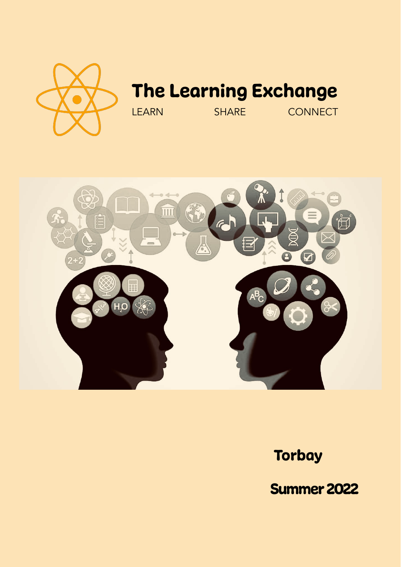

# The Learning Exchange

LEARN SHARE CONNECT



## **Torbay**

Summer 2022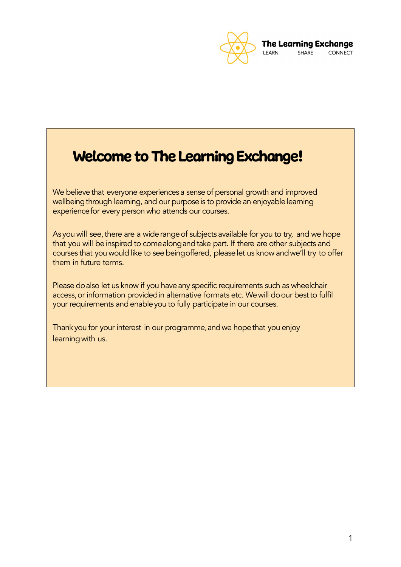

## Welcome to The Learning Exchange!

We believe that everyone experiences a sense of personal growth and improved wellbeing through learning, and our purpose is to provide an enjoyable learning experience for every person who attends our courses.

As you will see, there are a wide range of subjects available for you to try, and we hope that you will be inspired to come along and take part. If there are other subjects and courses that you would like to see beingoffered, pleaselet us know andwe'll try to offer them in future terms.

Please do also let us know if you have any specific requirements such as wheelchair access, or information provided in alternative formats etc. We will do our best to fulfil your requirements and enable you to fully participate in our courses.

Thank you for your interest in our programme, and we hope that you enjoy learning with us.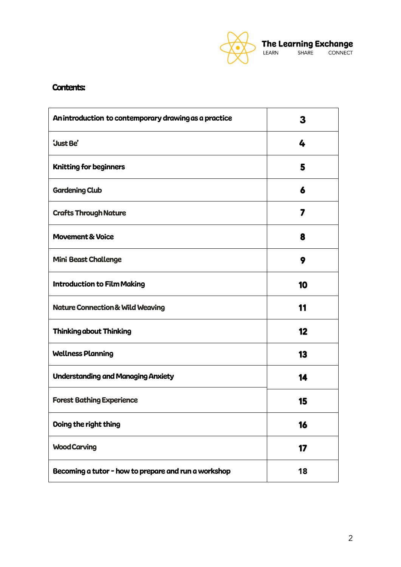

## Contents:

| An introduction to contemporary drawing as a practice | 3  |
|-------------------------------------------------------|----|
| <b>Just Be'</b>                                       | 4  |
| <b>Knitting for beginners</b>                         | 5  |
| <b>Gardening Club</b>                                 | 6  |
| <b>Crafts Through Nature</b>                          | 7  |
| <b>Movement &amp; Voice</b>                           | 8  |
| <b>Mini Beast Challenge</b>                           | 9  |
| <b>Introduction to Film Making</b>                    | 10 |
| <b>Nature Connection &amp; Wild Weaving</b>           | 11 |
| <b>Thinking about Thinking</b>                        | 12 |
| <b>Wellness Planning</b>                              | 13 |
| <b>Understanding and Managing Anxiety</b>             | 14 |
| <b>Forest Bathing Experience</b>                      | 15 |
| Doing the right thing                                 | 16 |
| <b>Wood Carving</b>                                   | 17 |
| Becoming a tutor - how to prepare and run a workshop  | 18 |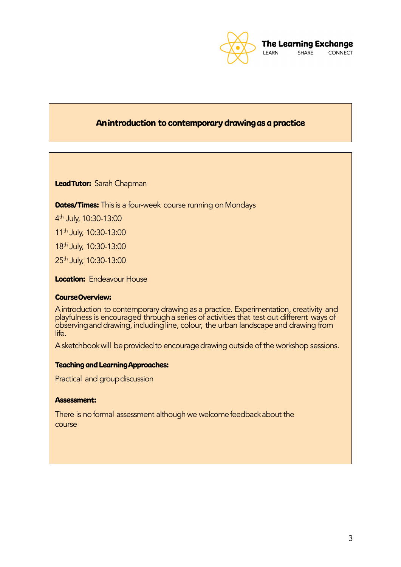

## Anintroduction to contemporary drawingas a practice

Lead Tutor: Sarah Chapman

**Dates/Times:** This is a four-week course running on Mondays

4 th July, 10:30-13:00

11th July, 10:30-13:00

18th July, 10:30-13:00

25th July, 10:30-13:00

**Location:** Endeavour House

## CourseOverview:

Aintroduction to contemporary drawing as a practice. Experimentation, creativity and playfulness is encouraged througha series of activities that test out different ways of observing and drawing, including line, colour, the urban landscape and drawing from life.

A sketchbook will be provided to encourage drawing outside of the workshop sessions.

## Teaching and LearningApproaches:

Practical and group discussion

## Assessment: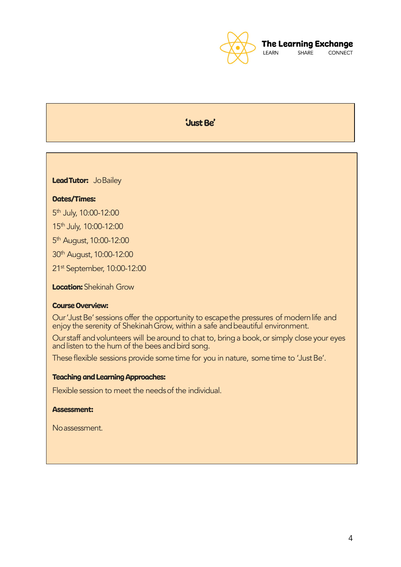

## 'Just Be'

Lead Tutor: Jo Bailey

## Dates/Times:

5<sup>th</sup> July, 10:00-12:00

15th July, 10:00-12:00

5<sup>th</sup> August, 10:00-12:00

30th August,10:00-12:00

21st September, 10:00-12:00

**Location:** Shekinah Grow

## Course Overview:

Our 'Just Be' sessions offer the opportunity to escapethe pressures of modern life and enjoy the serenity of ShekinahGrow, within a safe andbeautiful environment.

Our staff and volunteers will be around to chat to, bring a book, or simply close your eyes and listen to the hum of the bees and bird song.

These flexible sessions provide some time for you in nature, some time to 'Just Be'.

## Teaching and Learning Approaches:

Flexible session to meet the needs of the individual.

### Assessment:

Noassessment.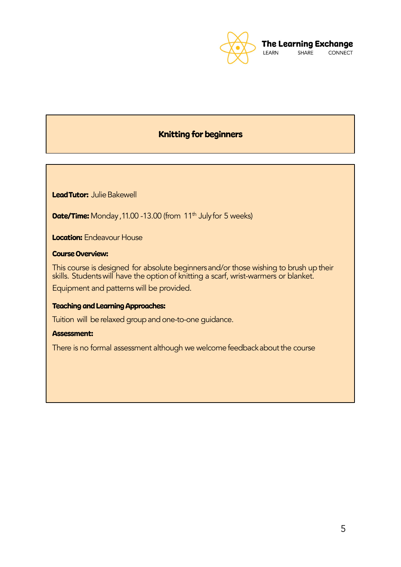

## Knitting for beginners

Lead Tutor: Julie Bakewell

Date/Time: Monday, 11.00 -13.00 (from 11<sup>th</sup> Julyfor 5 weeks)

**Location:** Endeavour House

## Course Overview:

This course is designed for absolute beginnersand/or those wishing to brush up their skills. Students will have the option of knitting a scarf, wrist-warmers or blanket.

Equipment and patterns will be provided.

## Teaching and Learning Approaches:

Tuition will be relaxed group and one-to-one guidance.

## Assessment: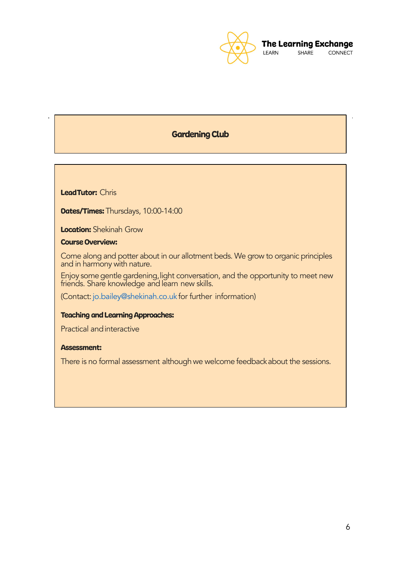

## Gardening Club

LeadTutor: Chris

**Dates/Times:** Thursdays, 10:00-14:00

Location: Shekinah Grow

Course Overview:

Come along and potter about in our allotment beds. We grow to organic principles and in harmony with nature.

Enjoy some gentle gardening, light conversation, and the opportunity to meet new friends. Share knowledge and learn new skills.

(Contact:jo.bailey@shekinah.co.uk for further information)

### Teaching and Learning Approaches:

Practical andinteractive

## Assessment: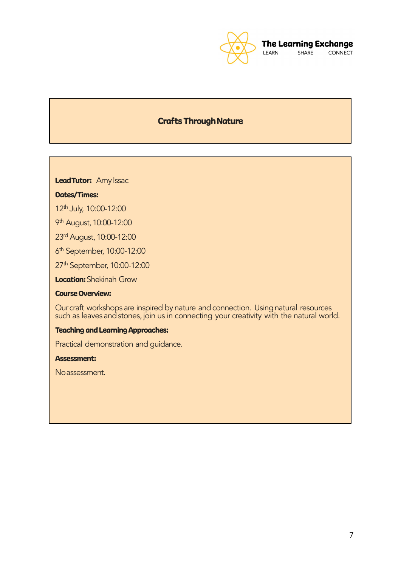

## **Crafts Through Nature**

LeadTutor: Amy Issac

#### Dates/Times:

12th July, 10:00-12:00

9<sup>th</sup> August, 10:00-12:00

23rd August, 10:00-12:00

6<sup>th</sup> September, 10:00-12:00

27<sup>th</sup> September, 10:00-12:00

**Location:** Shekinah Grow

## Course Overview:

Our craft workshops are inspired by nature and connection. Using natural resources such as leaves and stones, join us in connecting your creativity with the natural world.

## Teaching and Learning Approaches:

Practical demonstration and guidance.

## Assessment:

Noassessment.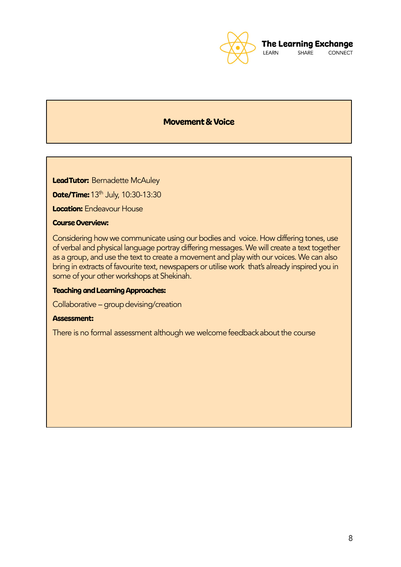

## Movement& Voice

Lead Tutor: Bernadette McAuley

**Date/Time:** 13<sup>th</sup> July, 10:30-13:30

**Location:** Endeavour House

## Course Overview:

Considering how we communicate using our bodies and voice. How differing tones, use of verbal and physical language portray differing messages. We will create a text together as a group, and use the text to create a movement and play with our voices. We can also bring in extracts of favourite text, newspapers or utilise work that's already inspired you in some of your other workshops at Shekinah.

## Teaching and Learning Approaches:

Collaborative – group devising/creation

## Assessment: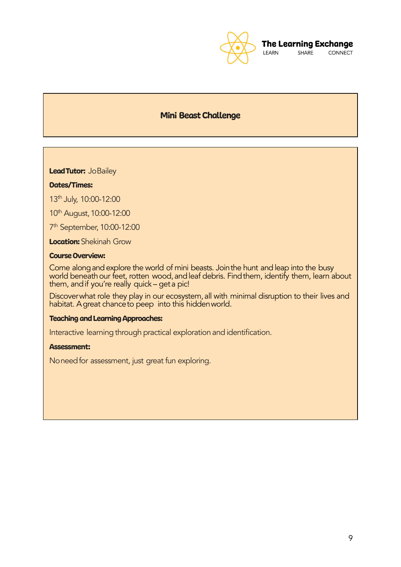

## Mini Beast Challenge

Lead Tutor: Jo Bailey

## Dates/Times:

13th July, 10:00-12:00

10<sup>th</sup> August, 10:00-12:00

7<sup>th</sup> September, 10:00-12:00

**Location:** Shekinah Grow

## Course Overview:

Come along and explore the world of mini beasts. Join the hunt and leap into the busy world beneath our feet, rotten wood, and leaf debris. Find them, identify them, learn about them, andif you're really quick – geta pic!

Discover what role they play in our ecosystem, all with minimal disruption to their lives and habitat. Agreat chanceto peep into this hiddenworld.

#### Teaching and Learning Approaches:

Interactive learning through practical exploration and identification.

## Assessment:

Noneed for assessment, just great fun exploring.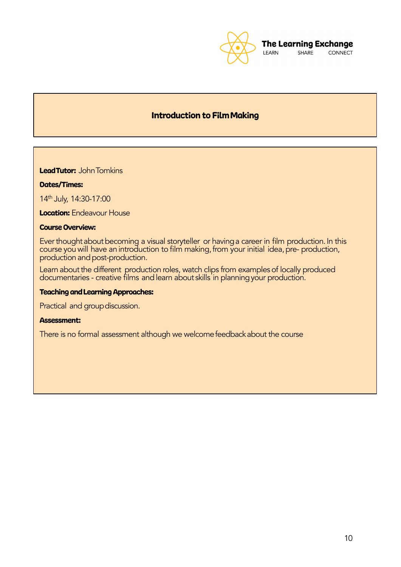

## Introduction to FilmMaking

LeadTutor: John Tomkins

## Dates/Times:

14th July, 14:30-17:00

**Location:** Endeavour House

## Course Overview:

Ever thought about becoming a visual storyteller or having a career in film production. In this course you will have an introduction to film making, from your initial idea, pre- production, production and post-production.

Learn about the different production roles, watch clips from examples of locally produced documentaries - creative films andlearn about skills in planningyour production.

### **Teaching and Learning Approaches:**

Practical and group discussion.

#### Assessment: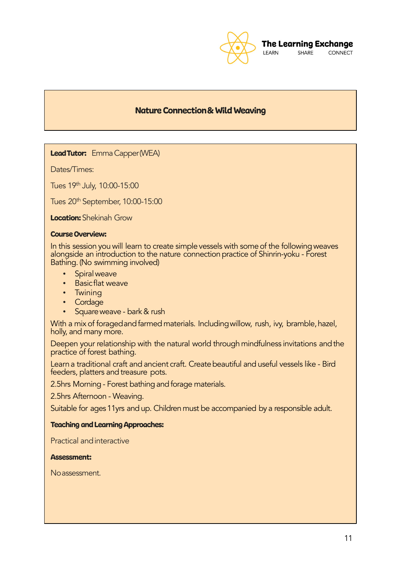

## Nature Connection& Wild Weaving

## Lead Tutor: Emma Capper (WEA)

Dates/Times:

Tues 19th July, 10:00-15:00

Tues 20th September, 10:00-15:00

**Location:** Shekinah Grow

#### Course Overview:

In this session you will learn to create simple vessels with some of the following weaves alongside an introduction to the nature connection practice of Shinrin-yoku - Forest Bathing. (No swimming involved)

- Spiral weave
- **Basicflat weave**
- Twining
- **Cordage**
- Square weave bark & rush

With a mix of foraged and farmed materials. Including willow, rush, ivy, bramble, hazel, holly, and many more.

Deepen your relationship with the natural world through mindfulness invitations and the practice of forest bathing.

Learn a traditional craft and ancient craft. Create beautiful and useful vessels like - Bird feeders, platters and treasure pots.

2.5hrs Morning - Forest bathing and forage materials.

2.5hrs Afternoon - Weaving.

Suitable for ages11yrs and up. Children must be accompanied by a responsible adult.

## Teaching and Learning Approaches:

Practical andinteractive

#### Assessment:

Noassessment.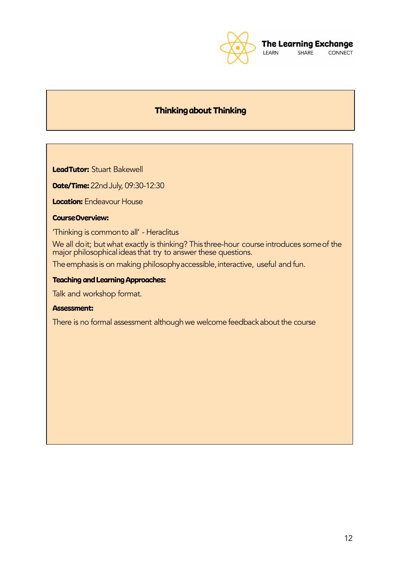

## Thinkingabout Thinking

LeadTutor: Stuart Bakewell

**Date/Time:** 22nd July, 09:30-12:30

**Location:** Endeavour House

## CourseOverview:

'Thinking is commonto all' - Heraclitus

We all doit; but what exactly is thinking? This three-hour course introduces someof the major philosophicalideas that try to answer these questions.

The emphasis is on making philosophy accessible, interactive, useful and fun.

## Teaching and Learning Approaches:

Talk and workshop format.

#### Assessment: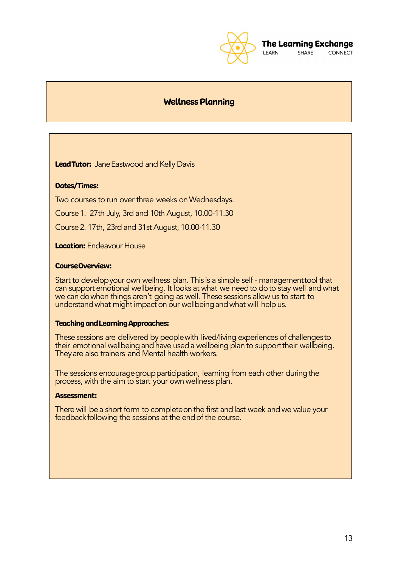

CONNECT SHARE

## Wellness Planning

**Lead Tutor:** Jane Eastwood and Kelly Davis

## Dates/Times:

Two courses to run over three weeks on Wednesdays.

Course1. 27th July, 3rd and 10th August, 10.00-11.30

Course2. 17th, 23rd and 31st August, 10.00-11.30

**Location:** Endeavour House

## CourseOverview:

Start to developyour own wellness plan. This is a simple self - managementtool that can support emotional wellbeing. It looks at what we need to do to stay well and what we can dowhen things aren't going as well. These sessions allow us to start to understand what might impact on our wellbeing and what will help us.

## Teaching andLearningApproaches:

These sessions are delivered by people with lived/living experiences of challenges to their emotional wellbeing and have used a wellbeing plan to support their wellbeing. They are also trainers and Mental health workers.

The sessions encourage group participation, learning from each other during the process, with the aim to start your own wellness plan.

#### Assessment:

There will bea short form to completeon the first andlast week andwe value your feedback following the sessions at the end of the course.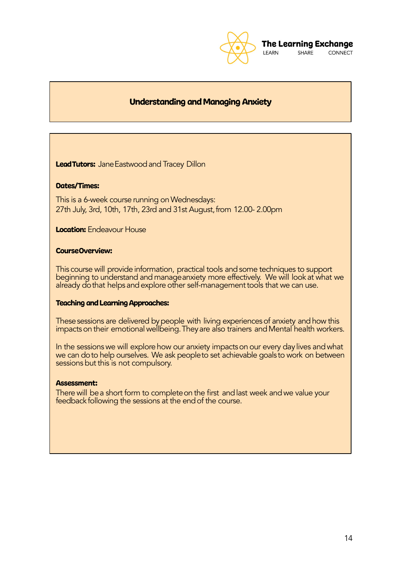

## Understanding and Managing Anxiety

Lead Tutors: Jane Eastwood and Tracey Dillon

## Dates/Times:

This is a 6-week course running on Wednesdays: 27th July, 3rd, 10th, 17th, 23rd and 31st August, from 12.00-2.00pm

## **Location:** Endeavour House

#### CourseOverview:

This course will provide information, practical tools andsome techniques to support beginning to understand and manageanxiety more effectively. We will look at what we already do that helps and explore other self-management tools that we can use.

#### Teaching and Learning Approaches:

These sessions are delivered by people with living experiences of anxiety and how this impacts on their emotional wellbeing. They are also trainers and Mental health workers.

In the sessions we will explore how our anxiety impactson our every day lives and what we can do to help ourselves. We ask people to set achievable goals to work on between sessions but this is not compulsory.

#### Assessment:

There will be a short form to complete on the first and last week and we value your feedback following the sessions at the end of the course.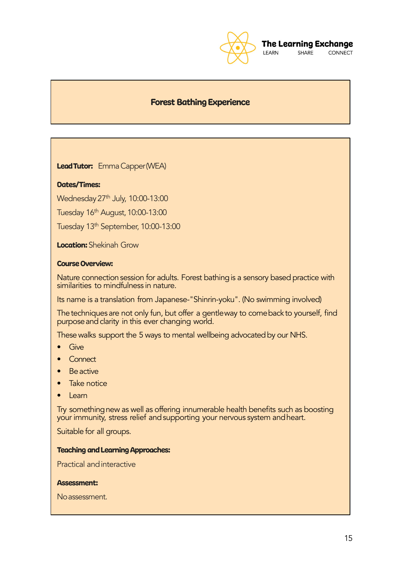

#### **The Learning Exchange** LEARN

SHARE **CONNECT** 

## Forest Bathing Experience

Lead Tutor: Emma Capper (WEA)

## Dates/Times:

Wednesday 27<sup>th</sup> July, 10:00-13:00

Tuesday 16th August,10:00-13:00

Tuesday 13<sup>th</sup> September, 10:00-13:00

**Location:** Shekinah Grow

## Course Overview:

Nature connection session for adults. Forest bathing is a sensory based practice with similarities to mindfulness in nature.

Its name is a translation from Japanese-"Shinrin-yoku". (No swimming involved)

The techniques are not only fun, but offer a gentleway to come back to yourself, find purpose and clarity in this ever changing world.

These walks support the 5 ways to mental wellbeing advocated by our NHS.

- Give
- Connect
- **Be** active
- Take notice
- Learn

Try somethingnew as well as offering innumerable health benefits such as boosting your immunity, stress relief andsupporting your nervous system andheart.

Suitable for all groups.

#### Teaching and Learning Approaches:

Practical andinteractive

#### Assessment:

Noassessment.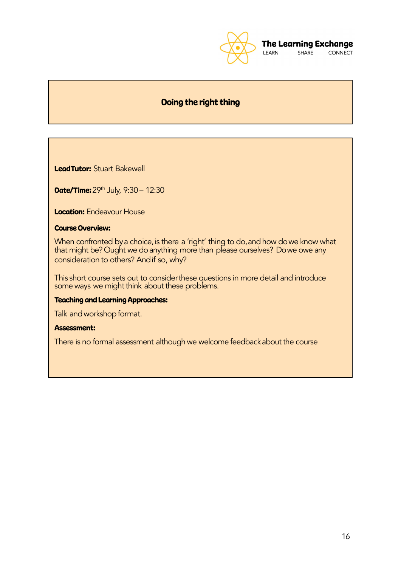

SHARE CONNECT

## Doing the right thing

LeadTutor: Stuart Bakewell

**Date/Time:** 29<sup>th</sup> July, 9:30 - 12:30

**Location:** Endeavour House

## Course Overview:

When confronted by a choice, is there <code>a</code> 'right' thing to do,<code>and</code> how do we know what that might be? Ought we do anything more than please ourselves? Do we owe any consideration to others? Andif so, why?

This short course sets out to considerthese questions in more detail and introduce some ways we might think about these problems.

## Teaching and Learning Approaches:

Talk and workshop format.

## Assessment: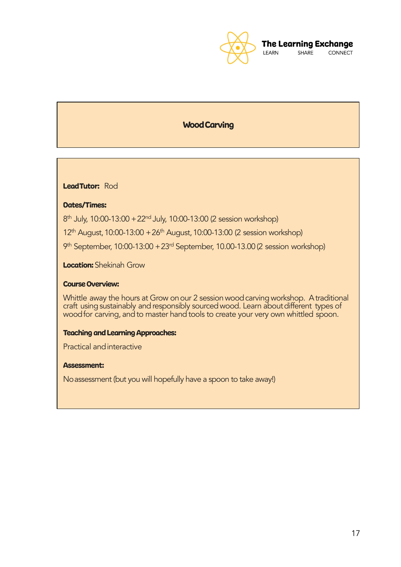

## WoodCarving

LeadTutor: Rod

## Dates/Times:

8<sup>th</sup> July, 10:00-13:00 + 22<sup>nd</sup> July, 10:00-13:00 (2 session workshop)

 $12<sup>th</sup>$  August, 10:00-13:00 + 26<sup>th</sup> August, 10:00-13:00 (2 session workshop)

9<sup>th</sup> September, 10:00-13:00 + 23<sup>rd</sup> September, 10.00-13.00 (2 session workshop)

**Location:** Shekinah Grow

## Course Overview:

Whittle away the hours at Grow on our 2 session wood carving workshop. A traditional craft usingsustainably andresponsibly sourcedwood. Learn aboutdifferent types of wood for carving, and to master hand tools to create your very own whittled spoon.

#### Teaching and Learning Approaches:

Practical andinteractive

#### Assessment:

Noassessment (but you will hopefully have a spoon to take away!)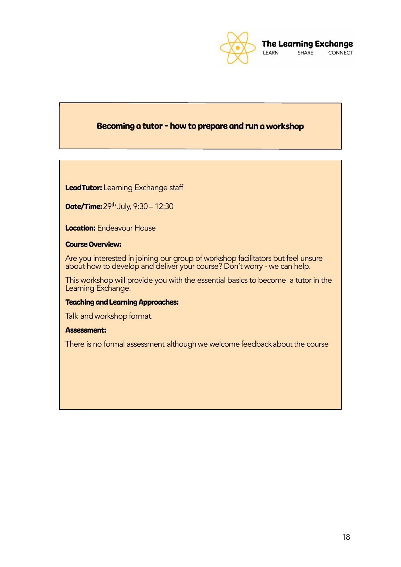

## Becoming <sup>a</sup> tutor - how to prepare and run <sup>a</sup> workshop

LeadTutor: Learning Exchange staff

Date/Time: 29th July, 9:30 - 12:30

**Location:** Endeavour House

## Course Overview:

Are you interested in joining our group of workshop facilitators but feel unsure about how to develop and deliver your course? Don't worry - we can help.

This workshop will provide you with the essential basics to become a tutor in the Learning Exchange.

## Teaching and Learning Approaches:

Talk and workshop format.

## Assessment: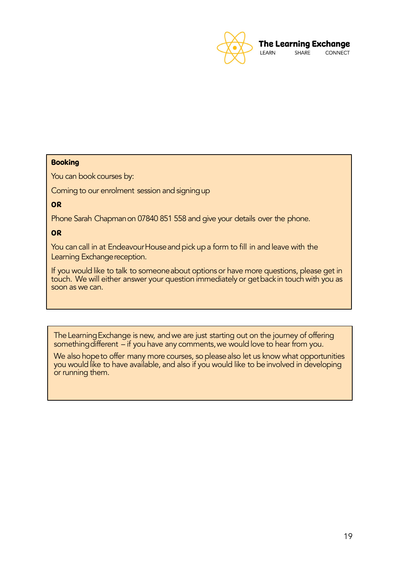

## **Booking**

You can book courses by:

Coming to our enrolment session and signing up

OR

Phone Sarah Chapman on 07840 851 558 and give your details over the phone.

## OR

You can call in at Endeavour House and pick up a form to fill in and leave with the Learning Exchange reception.

If you would like to talk to someone about options or have more questions, please get in touch. We will either answer your question immediately or getbackin touch with you as soon as we can.

TheLearningExchange is new, andwe are just starting out on the journey of offering something different – if you have any comments, we would love to hear from you.

We also hope to offer many more courses, so please also let us know what opportunities you would like to have available, and also if you would like to be involved in developing or running them.